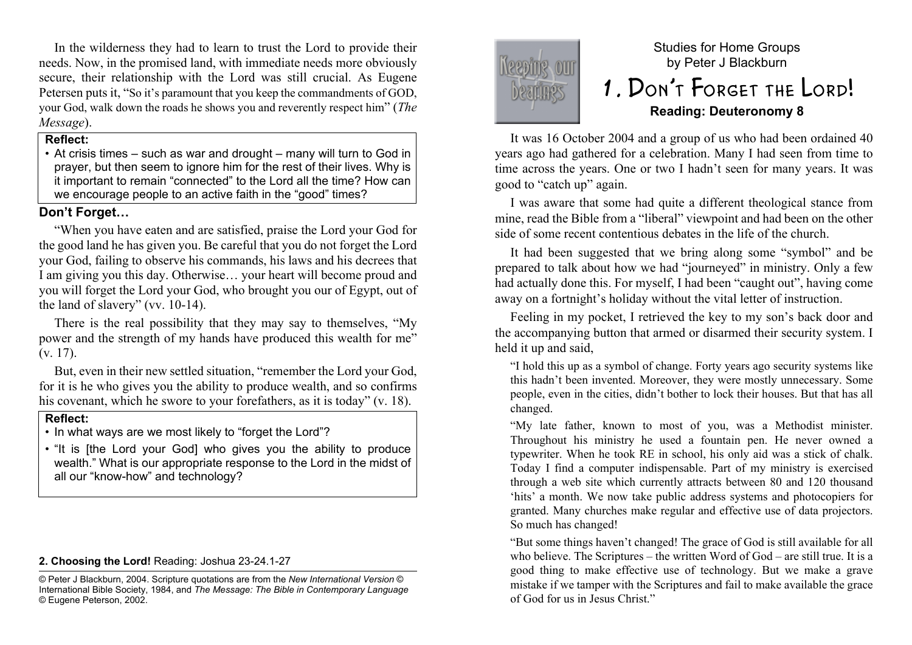In the wilderness they had to learn to trust the Lord to provide their needs. Now, in the promised land, with immediate needs more obviously secure, their relationship with the Lord was still crucial. As Eugene Petersen puts it, "So it's paramount that you keep the commandments of GOD, your God, walk down the roads he shows you and reverently respect him" (*The Message*).

### **Reflect:**

• At crisis times – such as war and drought – many will turn to God in prayer, but then seem to ignore him for the rest of their lives. Why is it important to remain "connected" to the Lord all the time? How can we encourage people to an active faith in the "good" times?

# **Don't Forget…**

"When you have eaten and are satisfied, praise the Lord your God for the good land he has given you. Be careful that you do not forget the Lord your God, failing to observe his commands, his laws and his decrees that I am giving you this day. Otherwise… your heart will become proud and you will forget the Lord your God, who brought you our of Egypt, out of the land of slavery" (vv. 10-14).

There is the real possibility that they may say to themselves, "My power and the strength of my hands have produced this wealth for me" (v. 17).

But, even in their new settled situation, "remember the Lord your God, for it is he who gives you the ability to produce wealth, and so confirms his covenant, which he swore to your forefathers, as it is today" (v. 18).

# **Reflect:**

• In what ways are we most likely to "forget the Lord"?

• "It is [the Lord your God] who gives you the ability to produce wealth." What is our appropriate response to the Lord in the midst of all our "know-how" and technology?

**2. Choosing the Lord!** Reading: Joshua 23-24.1-27

© Peter J Blackburn, 2004. Scripture quotations are from the *New International Version* © International Bible Society, 1984, and *The Message: The Bible in Contemporary Language* © Eugene Peterson, 2002.



# Studies for Home Groups by Peter J Blackburn 1. Don't Forget the Lord! **Reading: Deuteronomy 8**

It was 16 October 2004 and a group of us who had been ordained 40 years ago had gathered for a celebration. Many I had seen from time to time across the years. One or two I hadn't seen for many years. It was good to "catch up" again.

I was aware that some had quite a different theological stance from mine, read the Bible from a "liberal" viewpoint and had been on the other side of some recent contentious debates in the life of the church.

It had been suggested that we bring along some "symbol" and be prepared to talk about how we had "journeyed" in ministry. Only a few had actually done this. For myself, I had been "caught out", having come away on a fortnight's holiday without the vital letter of instruction.

Feeling in my pocket, I retrieved the key to my son's back door and the accompanying button that armed or disarmed their security system. I held it up and said,

"I hold this up as a symbol of change. Forty years ago security systems like this hadn't been invented. Moreover, they were mostly unnecessary. Some people, even in the cities, didn't bother to lock their houses. But that has all changed.

"My late father, known to most of you, was a Methodist minister. Throughout his ministry he used a fountain pen. He never owned a typewriter. When he took RE in school, his only aid was a stick of chalk. Today I find a computer indispensable. Part of my ministry is exercised through a web site which currently attracts between 80 and 120 thousand 'hits' a month. We now take public address systems and photocopiers for granted. Many churches make regular and effective use of data projectors. So much has changed!

"But some things haven't changed! The grace of God is still available for all who believe. The Scriptures – the written Word of God – are still true. It is a good thing to make effective use of technology. But we make a grave mistake if we tamper with the Scriptures and fail to make available the grace of God for us in Jesus Christ."